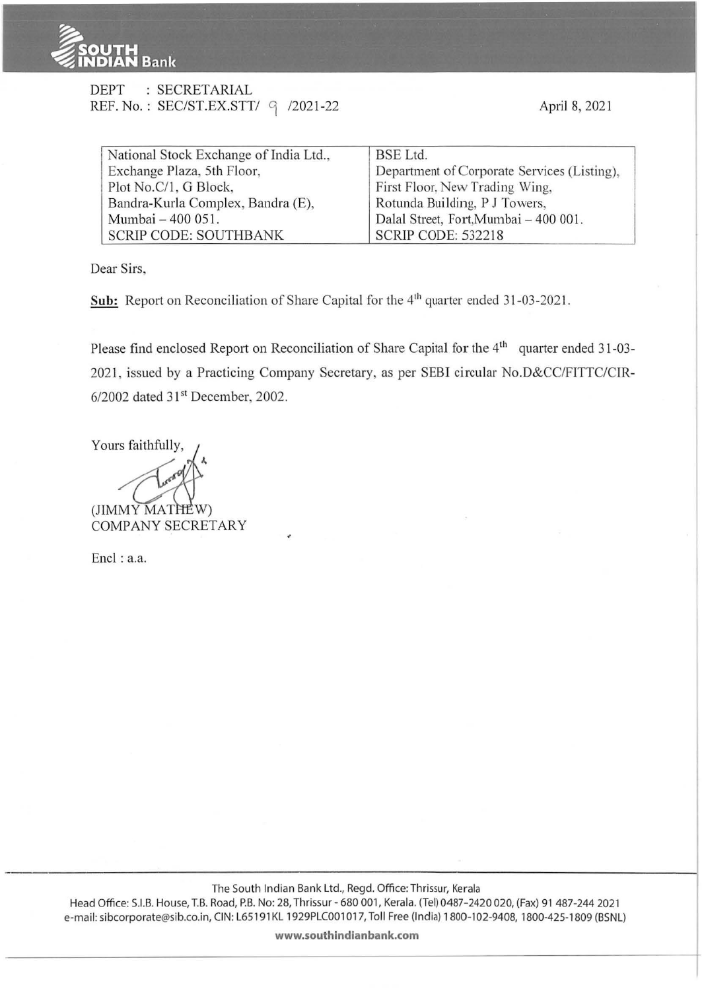

| DEPT | : SECRETARIAL                       |  |
|------|-------------------------------------|--|
|      | REF. No.: SEC/ST.EX.STT/ 9 /2021-22 |  |

| National Stock Exchange of India Ltd., | <b>BSE</b> Ltd.                             |  |  |  |
|----------------------------------------|---------------------------------------------|--|--|--|
| Exchange Plaza, 5th Floor,             | Department of Corporate Services (Listing), |  |  |  |
| Plot No.C/1, G Block,                  | First Floor, New Trading Wing,              |  |  |  |
| Bandra-Kurla Complex, Bandra (E),      | Rotunda Building, P J Towers,               |  |  |  |
| Mumbai - 400 051.                      | Dalal Street, Fort, Mumbai - 400 001.       |  |  |  |
| <b>SCRIP CODE: SOUTHBANK</b>           | <b>SCRIP CODE: 532218</b>                   |  |  |  |

Dear Sirs,

**Sub:** Report on Reconciliation of Share Capital for the 4<sup>th</sup> quarter ended 31-03-2021.

Please find enclosed Report on Reconciliation of Share Capital for the 4<sup>th</sup> quarter ended 31-03-2021, issued by a Practicing Company Secretary, as per SEBI circular No.D&CC/FITTC/CIR- $6/2002$  dated  $31<sup>st</sup>$  December, 2002.

Yours faithfully,

(JIMMY MATHEW)

**COMPANY SECRETARY** 

Encl: a.a.

The South Indian Bank Ltd., Regd. Office: Thrissur, Kerala Head Office: S.I.B. House, T.B. Road, P.B. No: 28, Thrissur - 680 001, Kerala. (Tel) 0487-2420 020, (Fax) 91 487-244 2021 e-mail: sibcorporate@sib.co.in, CIN: L65191KL 1929PLC001017, Toll Free (India) 1800-102-9408, 1800-425-1809 (BSNL)

**www.southindianbank.com**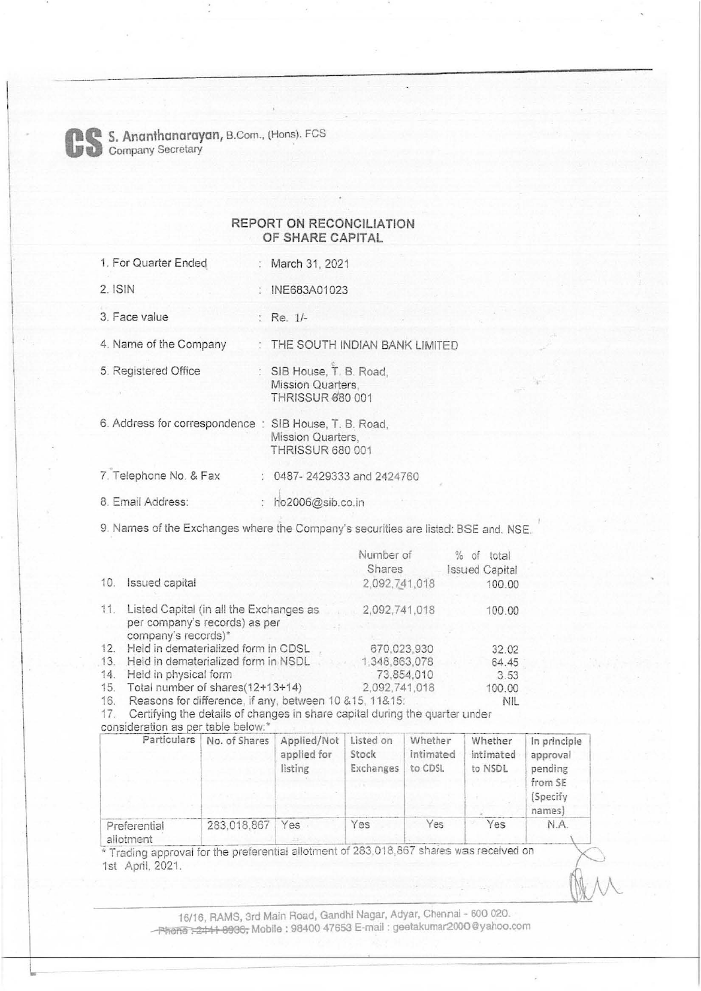

L

Com., (Hons). FCS Company Secretary

## REPORT ON RECONCILIATION OF SHARE CAPITAL

- 1. For Quarter Ended March 31, 2021
	-
- 2. ISIN : INE683A01023
- 3. Face value Re. 1/-

4. Name of the Company : THE SOUTH INDIAN BANK LIMITED

- 5. Registered Office SIB House, T. B. Road,
	- Mission Quarters, **THRISSUR 680 001**
- 6. Address for correspondence : SIB House, T. B. Road, Mission Quarters, THRISSUR 680 001 7. Telephone No. & Fax : 0487- 2429333 and 2424760
- 8. Email Address: : ho2006@sib.co.in

9. Names of the Exchanges where the Company's securities are listed: BSE and. NSE.

|     |                                                                                                 | Number of<br>Shares | $\%$<br>οf<br>total<br><b>Issued Capital</b> |
|-----|-------------------------------------------------------------------------------------------------|---------------------|----------------------------------------------|
| 10. | Issued capital                                                                                  | 2,092,741,018       | 100.00                                       |
| 11. | Listed Capital (in all the Exchanges as<br>per company's records) as per<br>company's records)* | 2,092,741,018       | 100.00                                       |
| 12. | Held in dematerialized form in CDSL                                                             | 670,023,930         | 32.02                                        |
| 13. | Held in dematerialized form in NSDL                                                             | 1,348,863,078       | 64.45                                        |
| 14. | Held in physical form                                                                           | 73,854,010          | 3.53                                         |
| 15. | Total number of shares(12+13+14)                                                                | 2,092,741,018       | 100.00                                       |
| 16. | Reasons for difference, if any, between 10 & 15, 11& 15:                                        |                     | NIL                                          |

16. Reasons for difference, if any, between 10&15, 11&15:

17. Certifying the details of changes in share capital dunng the quarter under

consideration as per table below:\*

| Particulars               | No. of Shares | Applied/Not<br>applied for<br>listing | Listed on<br>Stock<br>Exchanges | Whether<br>intimated<br>to CDSL | Whether<br>intimated<br>to NSDL | In principle<br>approval<br>pending<br>from SE<br>(Specify<br>names) |
|---------------------------|---------------|---------------------------------------|---------------------------------|---------------------------------|---------------------------------|----------------------------------------------------------------------|
| Preferential<br>allotment | 283.018.867   | Yes                                   | Yes                             | Yes                             | Yes                             | N.A.                                                                 |

\* Trading approval for the preferential allotment of 283,018,867 shares was received on 1st April, 2021.

> 16/16, RAMS, 3rd Main Road, Gandhi Nagar, Adyar, Chenna1 - 600 020. ~ . 2 111 8900, Mobile : 98400 47653 E-mail : geetakumar2000@yahoo.com

 $\sum_{k=1}^{\infty}$